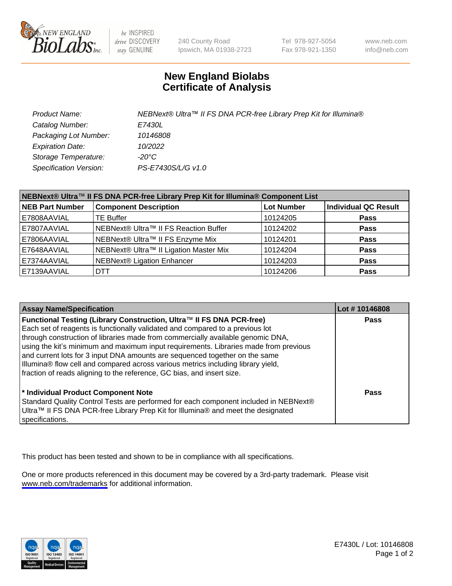

be INSPIRED drive DISCOVERY stay GENUINE

240 County Road Ipswich, MA 01938-2723 Tel 978-927-5054 Fax 978-921-1350

www.neb.com info@neb.com

## **New England Biolabs Certificate of Analysis**

| Product Name:           | NEBNext® Ultra™ II FS DNA PCR-free Library Prep Kit for Illumina® |
|-------------------------|-------------------------------------------------------------------|
| Catalog Number:         | <i>E7430L</i>                                                     |
| Packaging Lot Number:   | 10146808                                                          |
| <b>Expiration Date:</b> | 10/2022                                                           |
| Storage Temperature:    | -20°C                                                             |
| Specification Version:  | PS-E7430S/L/G v1.0                                                |

| NEBNext® Ultra™ II FS DNA PCR-free Library Prep Kit for Illumina® Component List |                                        |                   |                      |  |
|----------------------------------------------------------------------------------|----------------------------------------|-------------------|----------------------|--|
| <b>NEB Part Number</b>                                                           | <b>Component Description</b>           | <b>Lot Number</b> | Individual QC Result |  |
| E7808AAVIAL                                                                      | <b>TE Buffer</b>                       | 10124205          | <b>Pass</b>          |  |
| E7807AAVIAL                                                                      | NEBNext® Ultra™ II FS Reaction Buffer  | 10124202          | <b>Pass</b>          |  |
| E7806AAVIAL                                                                      | NEBNext® Ultra™ II FS Enzyme Mix       | 10124201          | <b>Pass</b>          |  |
| E7648AAVIAL                                                                      | NEBNext® Ultra™ II Ligation Master Mix | 10124204          | <b>Pass</b>          |  |
| E7374AAVIAL                                                                      | <b>NEBNext® Ligation Enhancer</b>      | 10124203          | <b>Pass</b>          |  |
| E7139AAVIAL                                                                      | <b>DTT</b>                             | 10124206          | <b>Pass</b>          |  |

| <b>Assay Name/Specification</b>                                                                                                                                                                                                                                                                                                                                                                                                                                                                                                                                               | Lot #10146808 |
|-------------------------------------------------------------------------------------------------------------------------------------------------------------------------------------------------------------------------------------------------------------------------------------------------------------------------------------------------------------------------------------------------------------------------------------------------------------------------------------------------------------------------------------------------------------------------------|---------------|
| Functional Testing (Library Construction, Ultra™ II FS DNA PCR-free)<br>Each set of reagents is functionally validated and compared to a previous lot<br>through construction of libraries made from commercially available genomic DNA,<br>using the kit's minimum and maximum input requirements. Libraries made from previous<br>and current lots for 3 input DNA amounts are sequenced together on the same<br>Illumina® flow cell and compared across various metrics including library yield,<br>fraction of reads aligning to the reference, GC bias, and insert size. | <b>Pass</b>   |
| * Individual Product Component Note<br>Standard Quality Control Tests are performed for each component included in NEBNext®<br>Ultra™ II FS DNA PCR-free Library Prep Kit for Illumina® and meet the designated<br>specifications.                                                                                                                                                                                                                                                                                                                                            | Pass          |

This product has been tested and shown to be in compliance with all specifications.

One or more products referenced in this document may be covered by a 3rd-party trademark. Please visit <www.neb.com/trademarks>for additional information.